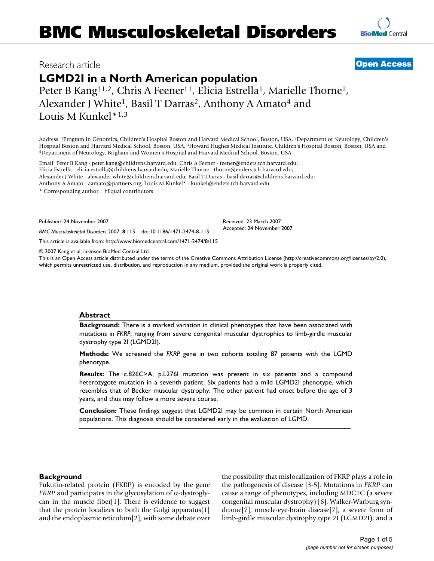## Research article **[Open Access](http://www.biomedcentral.com/info/about/charter/)**

# **LGMD2I in a North American population**

Peter B Kang<sup>†1,2</sup>, Chris A Feener<sup>†1</sup>, Elicia Estrella<sup>1</sup>, Marielle Thorne<sup>1</sup>, Alexander J White<sup>1</sup>, Basil T Darras<sup>2</sup>, Anthony A Amato<sup>4</sup> and Louis M Kunkel\*1,3

Address: 1Program in Genomics, Children's Hospital Boston and Harvard Medical School, Boston, USA, 2Department of Neurology, Children's Hospital Boston and Harvard Medical School, Boston, USA, <sup>3</sup>Howard Hughes Medical Institute, Children's Hospital Boston, Boston, USA and 4Department of Neurology, Brigham and Women's Hospital and Harvard Medical School, Bo

Email: Peter B Kang - peter.kang@childrens.harvard.edu; Chris A Feener - feener@enders.tch.harvard.edu; Elicia Estrella - elicia.estrella@childrens.harvard.edu; Marielle Thorne - thorne@enders.tch.harvard.edu; Alexander J White - alexander.white@childrens.harvard.edu; Basil T Darras - basil.darras@childrens.harvard.edu; Anthony A Amato - aamato@partners.org; Louis M Kunkel\* - kunkel@enders.tch.harvard.edu

\* Corresponding author †Equal contributors

Published: 24 November 2007

*BMC Musculoskeletal Disorders* 2007, **8**:115 doi:10.1186/1471-2474-8-115

[This article is available from: http://www.biomedcentral.com/1471-2474/8/115](http://www.biomedcentral.com/1471-2474/8/115)

© 2007 Kang et al; licensee BioMed Central Ltd.

This is an Open Access article distributed under the terms of the Creative Commons Attribution License [\(http://creativecommons.org/licenses/by/2.0\)](http://creativecommons.org/licenses/by/2.0), which permits unrestricted use, distribution, and reproduction in any medium, provided the original work is properly cited.

#### **Abstract**

**Background:** There is a marked variation in clinical phenotypes that have been associated with mutations in *FKRP*, ranging from severe congenital muscular dystrophies to limb-girdle muscular dystrophy type 2I (LGMD2I).

**Methods:** We screened the *FKRP* gene in two cohorts totaling 87 patients with the LGMD phenotype.

**Results:** The c.826C>A, p.L276I mutation was present in six patients and a compound heterozygote mutation in a seventh patient. Six patients had a mild LGMD2I phenotype, which resembles that of Becker muscular dystrophy. The other patient had onset before the age of 3 years, and thus may follow a more severe course.

**Conclusion:** These findings suggest that LGMD2I may be common in certain North American populations. This diagnosis should be considered early in the evaluation of LGMD.

#### **Background**

Fukutin-related protein (FKRP) is encoded by the gene *FKRP* and participates in the glycosylation of  $\alpha$ -dystroglycan in the muscle fiber[1]. There is evidence to suggest that the protein localizes to both the Golgi apparatus[1] and the endoplasmic reticulum[2], with some debate over the possibility that mislocalization of FKRP plays a role in the pathogenesis of disease [3-5]. Mutations in *FKRP* can cause a range of phenotypes, including MDC1C (a severe congenital muscular dystrophy) [6], Walker-Warburg syndrome[7], muscle-eye-brain disease[7], a severe form of limb-girdle muscular dystrophy type 2I (LGMD2I), and a



Received: 23 March 2007 Accepted: 24 November 2007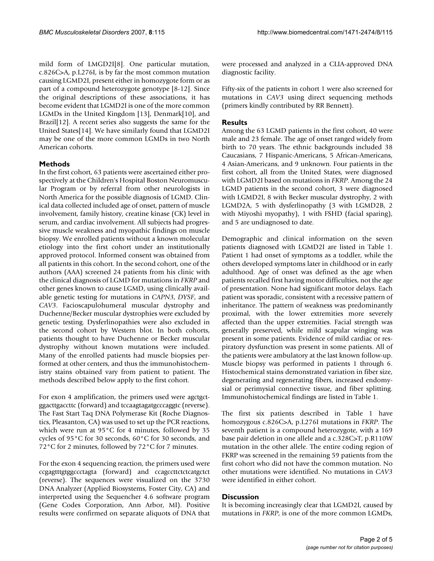mild form of LMGD2I[8]. One particular mutation, c.826C>A, p.L276I, is by far the most common mutation causing LGMD2I, present either in homozygote form or as part of a compound heterozygote genotype [8-12]. Since the original descriptions of these associations, it has become evident that LGMD2I is one of the more common LGMDs in the United Kingdom [13], Denmark[10], and Brazil[12]. A recent series also suggests the same for the United States[14]. We have similarly found that LGMD2I may be one of the more common LGMDs in two North American cohorts.

#### **Methods**

In the first cohort, 63 patients were ascertained either prospectively at the Children's Hospital Boston Neuromuscular Program or by referral from other neurologists in North America for the possible diagnosis of LGMD. Clinical data collected included age of onset, pattern of muscle involvement, family history, creatine kinase (CK) level in serum, and cardiac involvement. All subjects had progressive muscle weakness and myopathic findings on muscle biopsy. We enrolled patients without a known molecular etiology into the first cohort under an institutionally approved protocol. Informed consent was obtained from all patients in this cohort. In the second cohort, one of the authors (AAA) screened 24 patients from his clinic with the clinical diagnosis of LGMD for mutations in *FKRP* and other genes known to cause LGMD, using clinically available genetic testing for mutations in *CAPN3*, *DYSF*, and *CAV3*. Facioscapulohumeral muscular dystrophy and Duchenne/Becker muscular dystrophies were excluded by genetic testing. Dysferlinopathies were also excluded in the second cohort by Western blot. In both cohorts, patients thought to have Duchenne or Becker muscular dystrophy without known mutations were included. Many of the enrolled patients had muscle biopsies performed at other centers, and thus the immunohistochemistry stains obtained vary from patient to patient. The methods described below apply to the first cohort.

For exon 4 amplification, the primers used were agctgctggacttgaccttc (forward) and tccaagtagatgcccaggtc (reverse). The Fast Start Taq DNA Polymerase Kit (Roche Diagnostics, Pleasanton, CA) was used to set up the PCR reactions, which were run at 95°C for 4 minutes, followed by 35 cycles of 95°C for 30 seconds, 60°C for 30 seconds, and 72°C for 2 minutes, followed by 72°C for 7 minutes.

For the exon 4 sequencing reaction, the primers used were ccgagtttgtggccctagta (forward) and ccagccttctctcatgctct (reverse). The sequences were visualized on the 3730 DNA Analyzer (Applied Biosystems, Foster City, CA) and interpreted using the Sequencher 4.6 software program (Gene Codes Corporation, Ann Arbor, MI). Positive results were confirmed on separate aliquots of DNA that were processed and analyzed in a CLIA-approved DNA diagnostic facility.

Fifty-six of the patients in cohort 1 were also screened for mutations in *CAV3* using direct sequencing methods (primers kindly contributed by RR Bennett).

#### **Results**

Among the 63 LGMD patients in the first cohort, 40 were male and 23 female. The age of onset ranged widely from birth to 70 years. The ethnic backgrounds included 38 Caucasians, 7 Hispanic-Americans, 5 African-Americans, 4 Asian-Americans, and 9 unknown. Four patients in the first cohort, all from the United States, were diagnosed with LGMD2I based on mutations in *FKRP*. Among the 24 LGMD patients in the second cohort, 3 were diagnosed with LGMD2I, 8 with Becker muscular dystrophy, 2 with LGMD2A, 5 with dysferlinopathy (3 with LGMD2B, 2 with Miyoshi myopathy), 1 with FSHD (facial sparing), and 5 are undiagnosed to date.

Demographic and clinical information on the seven patients diagnosed with LGMD2I are listed in Table 1. Patient 1 had onset of symptoms as a toddler, while the others developed symptoms later in childhood or in early adulthood. Age of onset was defined as the age when patients recalled first having motor difficulties, not the age of presentation. None had significant motor delays. Each patient was sporadic, consistent with a recessive pattern of inheritance. The pattern of weakness was predominantly proximal, with the lower extremities more severely affected than the upper extremities. Facial strength was generally preserved, while mild scapular winging was present in some patients. Evidence of mild cardiac or respiratory dysfunction was present in some patients. All of the patients were ambulatory at the last known follow-up. Muscle biopsy was performed in patients 1 through 6. Histochemical stains demonstrated variation in fiber size, degenerating and regenerating fibers, increased endomysial or perimysial connective tissue, and fiber splitting. Immunohistochemical findings are listed in Table 1.

The first six patients described in Table 1 have homozygous c.826C>A, p.L276I mutations in *FKRP*. The seventh patient is a compound heterozygote, with a 169 base pair deletion in one allele and a c.328C>T, p.R110W mutation in the other allele. The entire coding region of FKRP was screened in the remaining 59 patients from the first cohort who did not have the common mutation. No other mutations were identified. No mutations in *CAV3* were identified in either cohort.

#### **Discussion**

It is becoming increasingly clear that LGMD2I, caused by mutations in *FKRP*, is one of the more common LGMDs,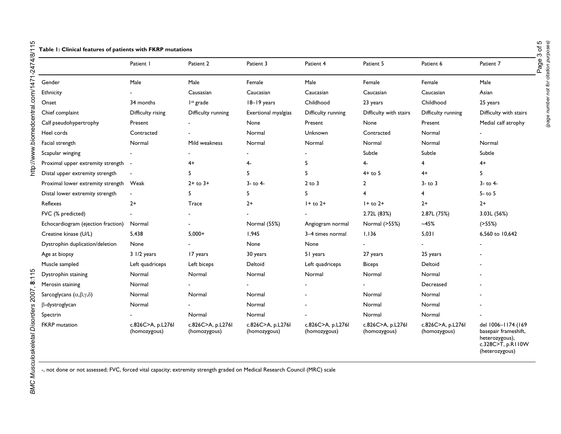|                                                | Patient I                         | Patient 2                         | Patient 3                         | Patient 4                         | Patient 5                         | Patient 6                         | Patient 7                                                                         |
|------------------------------------------------|-----------------------------------|-----------------------------------|-----------------------------------|-----------------------------------|-----------------------------------|-----------------------------------|-----------------------------------------------------------------------------------|
| Gender                                         | Male                              | Male                              | Female                            | Male                              | Female                            | Female                            | Male                                                                              |
| Ethnicity                                      |                                   | Causasian                         | Caucasian                         | Caucasian                         | Caucasian                         | Caucasian                         | Asian                                                                             |
| Onset                                          | 34 months                         | I <sup>st</sup> grade             | 18-19 years                       | Childhood                         | 23 years                          | Childhood                         | 25 years                                                                          |
| Chief complaint                                | Difficulty rising                 | Difficulty running                | Exertional myalgias               | Difficulty running                | Difficulty with stairs            | Difficulty running                | Difficulty with stairs                                                            |
| Calf pseudohypertrophy                         | Present                           |                                   | None                              | Present                           | None                              | Present                           | Medial calf atrophy                                                               |
| Heel cords                                     | Contracted                        |                                   | Normal                            | Unknown                           | Contracted                        | Normal                            |                                                                                   |
| Facial strength                                | Normal                            | Mild weakness                     | Normal                            | Normal                            | Normal                            | Normal                            | Normal                                                                            |
| Scapular winging                               |                                   |                                   |                                   |                                   | Subtle                            | Subtle                            | Subtle                                                                            |
| Proximal upper extremity strength              |                                   | 4+                                | 4-                                | 5                                 | 4-                                | 4                                 | $4+$                                                                              |
| Distal upper extremity strength                |                                   | 5.                                | 5                                 | 5                                 | $4+$ to 5                         | $4+$                              | 5                                                                                 |
| Proximal lower extremity strength              | Weak                              | $2 +$ to $3 +$                    | $3 -$ to $4 -$                    | $2$ to $3$                        | $\mathbf{2}$                      | $3 -$ to $3$                      | $3 -$ to $4 -$                                                                    |
| Distal lower extremity strength                | $\blacksquare$                    | 5                                 | 5                                 | 5                                 | 4                                 | 4                                 | $5 -$ to $5$                                                                      |
| Reflexes                                       | $2+$                              | Trace                             | $2+$                              | $1+$ to $2+$                      | $1+$ to $2+$                      | $2+$                              | $2+$                                                                              |
| FVC (% predicted)                              |                                   |                                   |                                   |                                   | 2.72L (83%)                       | 2.87L (75%)                       | 3.03L (56%)                                                                       |
| Echocardiogram (ejection fraction)             | Normal                            |                                   | Normal (55%)                      | Angiogram normal                  | Normal (>55%)                     | $-45%$                            | (255%)                                                                            |
| Creatine kinase (U/L)                          | 5,438                             | $5,000+$                          | 1,945                             | 3-4 times normal                  | 1.136                             | 5,031                             | 6,560 to 10,642                                                                   |
| Dystrophin duplication/deletion                | None                              |                                   | None                              | None                              |                                   |                                   |                                                                                   |
| Age at biopsy                                  | 3 1/2 years                       | 17 years                          | 30 years                          | 51 years                          | 27 years                          | 25 years                          |                                                                                   |
| Muscle sampled                                 | Left quadriceps                   | Left biceps                       | Deltoid                           | Left quadriceps                   | <b>Biceps</b>                     | Deltoid                           |                                                                                   |
| Dystrophin staining                            | Normal                            | Normal                            | Normal                            | Normal                            | Normal                            | Normal                            |                                                                                   |
| Merosin staining                               | Normal                            |                                   |                                   |                                   |                                   | Decreased                         |                                                                                   |
| Sarcoglycans $(\alpha, \beta, \gamma, \delta)$ | Normal                            | Normal                            | Normal                            |                                   | Normal                            | Normal                            |                                                                                   |
| β-dystroglycan                                 | Normal                            |                                   | Normal                            |                                   | Normal                            | Normal                            |                                                                                   |
| Spectrin                                       |                                   | Normal                            | Normal                            |                                   | Normal                            | Normal                            |                                                                                   |
| <b>FKRP</b> mutation                           | c.826C>A, p.L276I<br>(homozygous) | c.826C>A, p.L276l<br>(homozygous) | c.826C>A, p.L276l<br>(homozygous) | c.826C>A, p.L276l<br>(homozygous) | c.826C>A, p.L276l<br>(homozygous) | c.826C>A, p.L276I<br>(homozygous) | del 1006-1174 (169<br>basepair frameshift,<br>heterozygous),<br>c.328C>T, p.R110W |

**Table 1: Clinical features of patients with FKRP mutations**

-, not done or not assessed; FVC, forced vital capacity; extremity strength graded on Medical Research Council (MRC) scale

(heterozygous)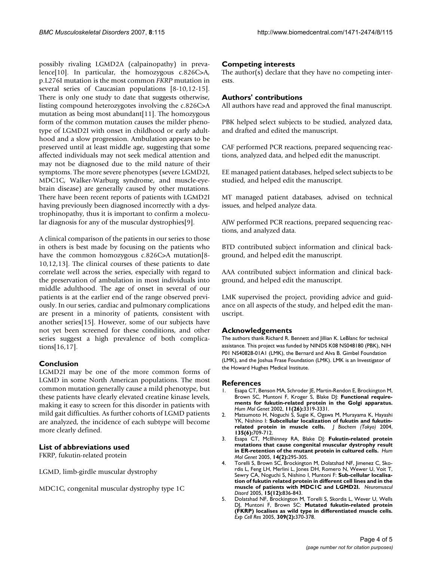possibly rivaling LGMD2A (calpainopathy) in prevalence[10]. In particular, the homozygous c.826C>A, p.L276I mutation is the most common *FKRP* mutation in several series of Caucasian populations [8-10,12-15]. There is only one study to date that suggests otherwise, listing compound heterozygotes involving the c.826C>A mutation as being most abundant[11]. The homozygous form of the common mutation causes the milder phenotype of LGMD2I with onset in childhood or early adulthood and a slow progression. Ambulation appears to be preserved until at least middle age, suggesting that some affected individuals may not seek medical attention and may not be diagnosed due to the mild nature of their symptoms. The more severe phenotypes (severe LGMD2I, MDC1C, Walker-Warburg syndrome, and muscle-eyebrain disease) are generally caused by other mutations. There have been recent reports of patients with LGMD2I having previously been diagnosed incorrectly with a dystrophinopathy, thus it is important to confirm a molecular diagnosis for any of the muscular dystrophies[9].

A clinical comparison of the patients in our series to those in others is best made by focusing on the patients who have the common homozygous c.826C>A mutation[8-10,12,13]. The clinical courses of these patients to date correlate well across the series, especially with regard to the preservation of ambulation in most individuals into middle adulthood. The age of onset in several of our patients is at the earlier end of the range observed previously. In our series, cardiac and pulmonary complications are present in a minority of patients, consistent with another series[15]. However, some of our subjects have not yet been screened for these conditions, and other series suggest a high prevalence of both complications[16,17].

#### **Conclusion**

LGMD2I may be one of the more common forms of LGMD in some North American populations. The most common mutation generally cause a mild phenotype, but these patients have clearly elevated creatine kinase levels, making it easy to screen for this disorder in patients with mild gait difficulties. As further cohorts of LGMD patients are analyzed, the incidence of each subtype will become more clearly defined.

#### **List of abbreviations used**

FKRP, fukutin-related protein

LGMD, limb-girdle muscular dystrophy

MDC1C, congenital muscular dystrophy type 1C

#### **Competing interests**

The author(s) declare that they have no competing interests.

### **Authors' contributions**

All authors have read and approved the final manuscript.

PBK helped select subjects to be studied, analyzed data, and drafted and edited the manuscript.

CAF performed PCR reactions, prepared sequencing reactions, analyzed data, and helped edit the manuscript.

EE managed patient databases, helped select subjects to be studied, and helped edit the manuscript.

MT managed patient databases, advised on technical issues, and helped analyze data.

AJW performed PCR reactions, prepared sequencing reactions, and analyzed data.

BTD contributed subject information and clinical background, and helped edit the manuscript.

AAA contributed subject information and clinical background, and helped edit the manuscript.

LMK supervised the project, providing advice and guidance on all aspects of the study, and helped edit the manuscript.

#### **Acknowledgements**

The authors thank Richard R. Bennett and Jillian K. LeBlanc for technical assistance. This project was funded by NINDS K08 NS048180 (PBK), NIH P01 NS40828-01A1 (LMK), the Bernard and Alva B. Gimbel Foundation (LMK), and the Joshua Frase Foundation (LMK). LMK is an Investigator of the Howard Hughes Medical Institute.

#### **References**

- 1. Esapa CT, Benson MA, Schroder JE, Martin-Rendon E, Brockington M, Brown SC, Muntoni F, Kroger S, Blake DJ: **[Functional require](http://www.ncbi.nlm.nih.gov/entrez/query.fcgi?cmd=Retrieve&db=PubMed&dopt=Abstract&list_uids=12471058)[ments for fukutin-related protein in the Golgi apparatus.](http://www.ncbi.nlm.nih.gov/entrez/query.fcgi?cmd=Retrieve&db=PubMed&dopt=Abstract&list_uids=12471058)** *Hum Mol Genet* 2002, **11(26):**3319-3331.
- 2. Matsumoto H, Noguchi S, Sugie K, Ogawa M, Murayama K, Hayashi YK, Nishino I: **[Subcellular localization of fukutin and fukutin](http://www.ncbi.nlm.nih.gov/entrez/query.fcgi?cmd=Retrieve&db=PubMed&dopt=Abstract&list_uids=15213246)[related protein in muscle cells.](http://www.ncbi.nlm.nih.gov/entrez/query.fcgi?cmd=Retrieve&db=PubMed&dopt=Abstract&list_uids=15213246)** *J Biochem (Tokyo)* 2004, **135(6):**709-712.
- 3. Esapa CT, McIlhinney RA, Blake DJ: **[Fukutin-related protein](http://www.ncbi.nlm.nih.gov/entrez/query.fcgi?cmd=Retrieve&db=PubMed&dopt=Abstract&list_uids=15574464) [mutations that cause congenital muscular dystrophy result](http://www.ncbi.nlm.nih.gov/entrez/query.fcgi?cmd=Retrieve&db=PubMed&dopt=Abstract&list_uids=15574464) [in ER-retention of the mutant protein in cultured cells.](http://www.ncbi.nlm.nih.gov/entrez/query.fcgi?cmd=Retrieve&db=PubMed&dopt=Abstract&list_uids=15574464)** *Hum Mol Genet* 2005, **14(2):**295-305.
- 4. Torelli S, Brown SC, Brockington M, Dolatshad NF, Jimenez C, Skordis L, Feng LH, Merlini L, Jones DH, Romero N, Wewer U, Voit T, Sewry CA, Noguchi S, Nishino I, Muntoni F: **[Sub-cellular localisa](http://www.ncbi.nlm.nih.gov/entrez/query.fcgi?cmd=Retrieve&db=PubMed&dopt=Abstract&list_uids=16288869)[tion of fukutin related protein in different cell lines and in the](http://www.ncbi.nlm.nih.gov/entrez/query.fcgi?cmd=Retrieve&db=PubMed&dopt=Abstract&list_uids=16288869) [muscle of patients with MDC1C and LGMD2I.](http://www.ncbi.nlm.nih.gov/entrez/query.fcgi?cmd=Retrieve&db=PubMed&dopt=Abstract&list_uids=16288869)** *Neuromuscul Disord* 2005, **15(12):**836-843.
- Dolatshad NF, Brockington M, Torelli S, Skordis L, Wever U, Wells DJ, Muntoni F, Brown SC: **[Mutated fukutin-related protein](http://www.ncbi.nlm.nih.gov/entrez/query.fcgi?cmd=Retrieve&db=PubMed&dopt=Abstract&list_uids=16055117) [\(FKRP\) localises as wild type in differentiated muscle cells.](http://www.ncbi.nlm.nih.gov/entrez/query.fcgi?cmd=Retrieve&db=PubMed&dopt=Abstract&list_uids=16055117)** *Exp Cell Res* 2005, **309(2):**370-378.